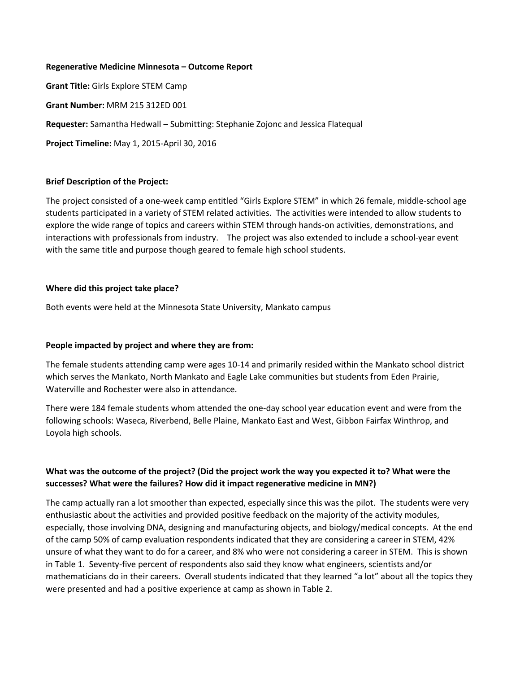#### **Regenerative Medicine Minnesota – Outcome Report**

**Grant Title:** Girls Explore STEM Camp

**Grant Number:** MRM 215 312ED 001

**Requester:** Samantha Hedwall – Submitting: Stephanie Zojonc and Jessica Flatequal

**Project Timeline:** May 1, 2015-April 30, 2016

### **Brief Description of the Project:**

The project consisted of a one-week camp entitled "Girls Explore STEM" in which 26 female, middle-school age students participated in a variety of STEM related activities. The activities were intended to allow students to explore the wide range of topics and careers within STEM through hands-on activities, demonstrations, and interactions with professionals from industry. The project was also extended to include a school-year event with the same title and purpose though geared to female high school students.

### **Where did this project take place?**

Both events were held at the Minnesota State University, Mankato campus

## **People impacted by project and where they are from:**

The female students attending camp were ages 10-14 and primarily resided within the Mankato school district which serves the Mankato, North Mankato and Eagle Lake communities but students from Eden Prairie, Waterville and Rochester were also in attendance.

There were 184 female students whom attended the one-day school year education event and were from the following schools: Waseca, Riverbend, Belle Plaine, Mankato East and West, Gibbon Fairfax Winthrop, and Loyola high schools.

## **What was the outcome of the project? (Did the project work the way you expected it to? What were the successes? What were the failures? How did it impact regenerative medicine in MN?)**

The camp actually ran a lot smoother than expected, especially since this was the pilot. The students were very enthusiastic about the activities and provided positive feedback on the majority of the activity modules, especially, those involving DNA, designing and manufacturing objects, and biology/medical concepts. At the end of the camp 50% of camp evaluation respondents indicated that they are considering a career in STEM, 42% unsure of what they want to do for a career, and 8% who were not considering a career in STEM. This is shown in Table 1. Seventy-five percent of respondents also said they know what engineers, scientists and/or mathematicians do in their careers. Overall students indicated that they learned "a lot" about all the topics they were presented and had a positive experience at camp as shown in Table 2.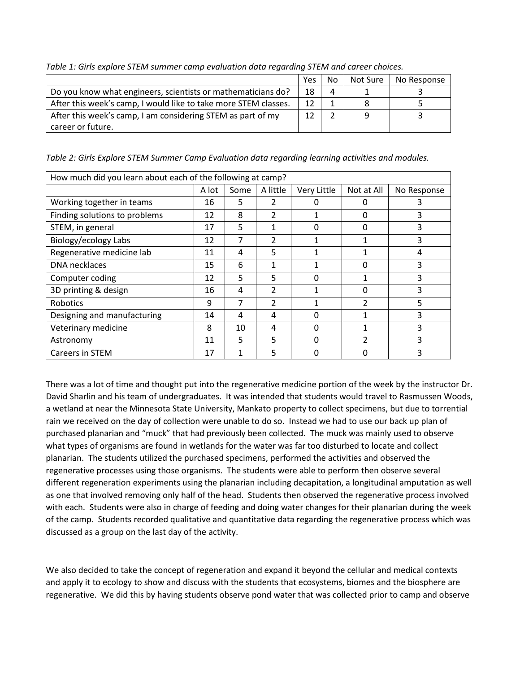|                                                                 | Yes | No | Not Sure | No Response |
|-----------------------------------------------------------------|-----|----|----------|-------------|
| Do you know what engineers, scientists or mathematicians do?    | 18  | Δ  |          |             |
| After this week's camp, I would like to take more STEM classes. | 12  |    |          |             |
| After this week's camp, I am considering STEM as part of my     | 12  |    |          |             |
| career or future.                                               |     |    |          |             |

*Table 1: Girls explore STEM summer camp evaluation data regarding STEM and career choices.*

*Table 2: Girls Explore STEM Summer Camp Evaluation data regarding learning activities and modules.*

| How much did you learn about each of the following at camp? |       |      |               |             |                |             |  |  |  |
|-------------------------------------------------------------|-------|------|---------------|-------------|----------------|-------------|--|--|--|
|                                                             | A lot | Some | A little      | Very Little | Not at All     | No Response |  |  |  |
| Working together in teams                                   | 16    | 5    | 2             |             |                |             |  |  |  |
| Finding solutions to problems                               | 12    | 8    | 2             |             | 0              | 3           |  |  |  |
| STEM, in general                                            | 17    | 5    |               | $\Omega$    | O              | 3           |  |  |  |
| Biology/ecology Labs                                        | 12    |      | 2             |             |                |             |  |  |  |
| Regenerative medicine lab                                   | 11    | 4    | 5             |             |                | 4           |  |  |  |
| DNA necklaces                                               | 15    | 6    |               |             |                |             |  |  |  |
| Computer coding                                             | 12    | 5    | 5             | $\Omega$    |                | 3           |  |  |  |
| 3D printing & design                                        | 16    | 4    | $\mathcal{P}$ |             |                | 3           |  |  |  |
| Robotics                                                    | 9     | 7    | $\mathcal{P}$ |             | $\overline{2}$ | 5           |  |  |  |
| Designing and manufacturing                                 | 14    | 4    | 4             |             |                | 3           |  |  |  |
| Veterinary medicine                                         | 8     | 10   | 4             | ŋ           |                | 3           |  |  |  |
| Astronomy                                                   | 11    | 5    | 5             | ŋ           |                | 3           |  |  |  |
| Careers in STEM                                             | 17    |      | 5             |             |                |             |  |  |  |

There was a lot of time and thought put into the regenerative medicine portion of the week by the instructor Dr. David Sharlin and his team of undergraduates. It was intended that students would travel to Rasmussen Woods, a wetland at near the Minnesota State University, Mankato property to collect specimens, but due to torrential rain we received on the day of collection were unable to do so. Instead we had to use our back up plan of purchased planarian and "muck" that had previously been collected. The muck was mainly used to observe what types of organisms are found in wetlands for the water was far too disturbed to locate and collect planarian. The students utilized the purchased specimens, performed the activities and observed the regenerative processes using those organisms. The students were able to perform then observe several different regeneration experiments using the planarian including decapitation, a longitudinal amputation as well as one that involved removing only half of the head. Students then observed the regenerative process involved with each. Students were also in charge of feeding and doing water changes for their planarian during the week of the camp. Students recorded qualitative and quantitative data regarding the regenerative process which was discussed as a group on the last day of the activity.

We also decided to take the concept of regeneration and expand it beyond the cellular and medical contexts and apply it to ecology to show and discuss with the students that ecosystems, biomes and the biosphere are regenerative. We did this by having students observe pond water that was collected prior to camp and observe